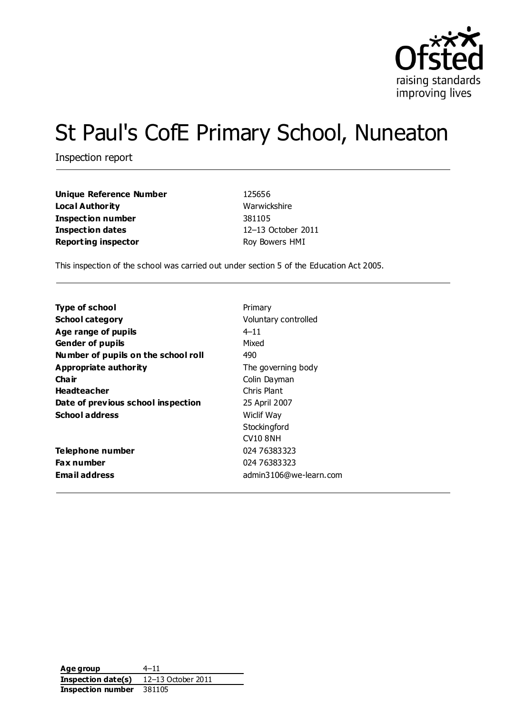

# St Paul's CofE Primary School, Nuneaton

Inspection report

| Unique Reference Number    | 125656             |
|----------------------------|--------------------|
| Local Authority            | Warwickshire       |
| <b>Inspection number</b>   | 381105             |
| Inspection dates           | 12-13 October 2011 |
| <b>Reporting inspector</b> | Roy Bowers HMI     |

This inspection of the school was carried out under section 5 of the Education Act 2005.

| <b>Type of school</b>               | Primary                |
|-------------------------------------|------------------------|
| <b>School category</b>              | Voluntary controlled   |
| Age range of pupils                 | $4 - 11$               |
| <b>Gender of pupils</b>             | Mixed                  |
| Number of pupils on the school roll | 490                    |
| Appropriate authority               | The governing body     |
| Cha ir                              | Colin Dayman           |
| <b>Headteacher</b>                  | Chris Plant            |
| Date of previous school inspection  | 25 April 2007          |
| <b>School address</b>               | <b>Wiclif Way</b>      |
|                                     | Stockingford           |
|                                     | <b>CV10 8NH</b>        |
| Telephone number                    | 024 76383323           |
| <b>Fax number</b>                   | 024 76383323           |
| <b>Email address</b>                | admin3106@we-learn.com |

**Age group** 4–11 **Inspection date(s)** 12–13 October 2011 **Inspection number** 381105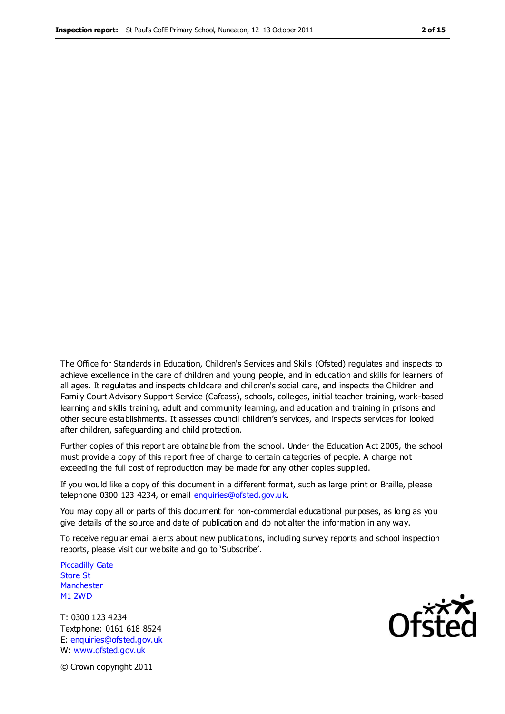The Office for Standards in Education, Children's Services and Skills (Ofsted) regulates and inspects to achieve excellence in the care of children and young people, and in education and skills for learners of all ages. It regulates and inspects childcare and children's social care, and inspects the Children and Family Court Advisory Support Service (Cafcass), schools, colleges, initial teacher training, work-based learning and skills training, adult and community learning, and education and training in prisons and other secure establishments. It assesses council children's services, and inspects services for looked after children, safeguarding and child protection.

Further copies of this report are obtainable from the school. Under the Education Act 2005, the school must provide a copy of this report free of charge to certain categories of people. A charge not exceeding the full cost of reproduction may be made for any other copies supplied.

If you would like a copy of this document in a different format, such as large print or Braille, please telephone 0300 123 4234, or email enquiries@ofsted.gov.uk.

You may copy all or parts of this document for non-commercial educational purposes, as long as you give details of the source and date of publication and do not alter the information in any way.

To receive regular email alerts about new publications, including survey reports and school inspection reports, please visit our website and go to 'Subscribe'.

Piccadilly Gate Store St **Manchester** M1 2WD

T: 0300 123 4234 Textphone: 0161 618 8524 E: enquiries@ofsted.gov.uk W: www.ofsted.gov.uk

**Ofsted** 

© Crown copyright 2011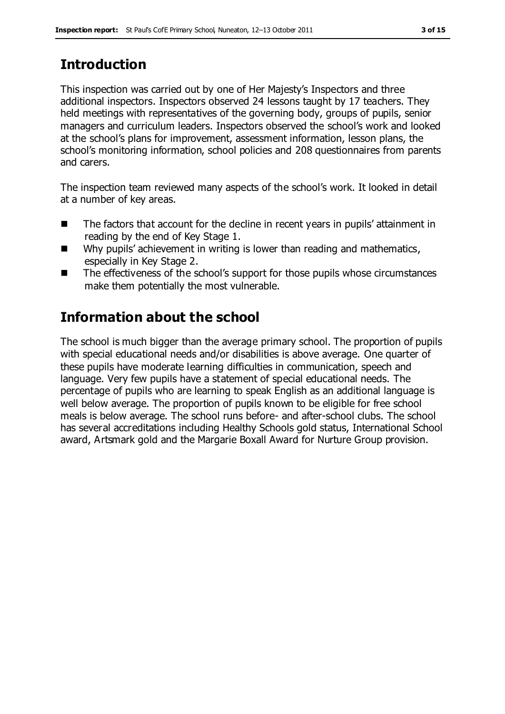# **Introduction**

This inspection was carried out by one of Her Majesty's Inspectors and three additional inspectors. Inspectors observed 24 lessons taught by 17 teachers. They held meetings with representatives of the governing body, groups of pupils, senior managers and curriculum leaders. Inspectors observed the school's work and looked at the school's plans for improvement, assessment information, lesson plans, the school's monitoring information, school policies and 208 questionnaires from parents and carers.

The inspection team reviewed many aspects of the school's work. It looked in detail at a number of key areas.

- The factors that account for the decline in recent years in pupils' attainment in reading by the end of Key Stage 1.
- Why pupils' achievement in writing is lower than reading and mathematics, especially in Key Stage 2.
- The effectiveness of the school's support for those pupils whose circumstances make them potentially the most vulnerable.

# **Information about the school**

The school is much bigger than the average primary school. The proportion of pupils with special educational needs and/or disabilities is above average. One quarter of these pupils have moderate learning difficulties in communication, speech and language. Very few pupils have a statement of special educational needs. The percentage of pupils who are learning to speak English as an additional language is well below average. The proportion of pupils known to be eligible for free school meals is below average. The school runs before- and after-school clubs. The school has several accreditations including Healthy Schools gold status, International School award, Artsmark gold and the Margarie Boxall Award for Nurture Group provision.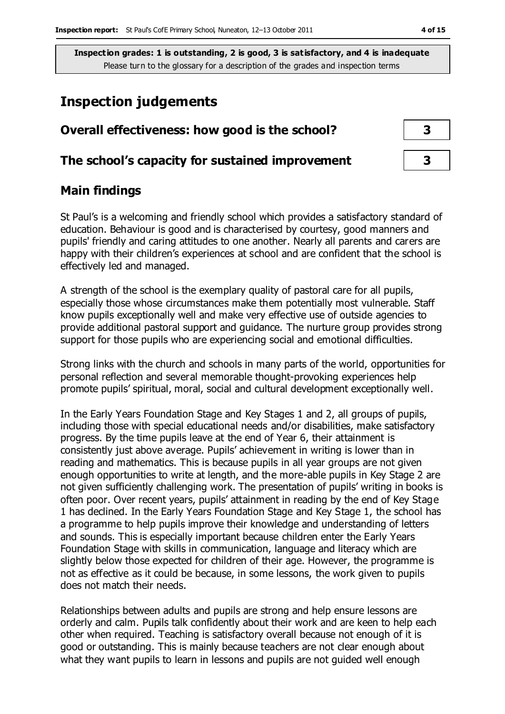# **Inspection judgements**

| Overall effectiveness: how good is the school?  |  |
|-------------------------------------------------|--|
| The school's capacity for sustained improvement |  |

# **Main findings**

St Paul's is a welcoming and friendly school which provides a satisfactory standard of education. Behaviour is good and is characterised by courtesy, good manners and pupils' friendly and caring attitudes to one another. Nearly all parents and carers are happy with their children's experiences at school and are confident that the school is effectively led and managed.

A strength of the school is the exemplary quality of pastoral care for all pupils, especially those whose circumstances make them potentially most vulnerable. Staff know pupils exceptionally well and make very effective use of outside agencies to provide additional pastoral support and guidance. The nurture group provides strong support for those pupils who are experiencing social and emotional difficulties.

Strong links with the church and schools in many parts of the world, opportunities for personal reflection and several memorable thought-provoking experiences help promote pupils' spiritual, moral, social and cultural development exceptionally well.

In the Early Years Foundation Stage and Key Stages 1 and 2, all groups of pupils, including those with special educational needs and/or disabilities, make satisfactory progress. By the time pupils leave at the end of Year 6, their attainment is consistently just above average. Pupils' achievement in writing is lower than in reading and mathematics. This is because pupils in all year groups are not given enough opportunities to write at length, and the more-able pupils in Key Stage 2 are not given sufficiently challenging work. The presentation of pupils' writing in books is often poor. Over recent years, pupils' attainment in reading by the end of Key Stage 1 has declined. In the Early Years Foundation Stage and Key Stage 1, the school has a programme to help pupils improve their knowledge and understanding of letters and sounds. This is especially important because children enter the Early Years Foundation Stage with skills in communication, language and literacy which are slightly below those expected for children of their age. However, the programme is not as effective as it could be because, in some lessons, the work given to pupils does not match their needs.

Relationships between adults and pupils are strong and help ensure lessons are orderly and calm. Pupils talk confidently about their work and are keen to help each other when required. Teaching is satisfactory overall because not enough of it is good or outstanding. This is mainly because teachers are not clear enough about what they want pupils to learn in lessons and pupils are not guided well enough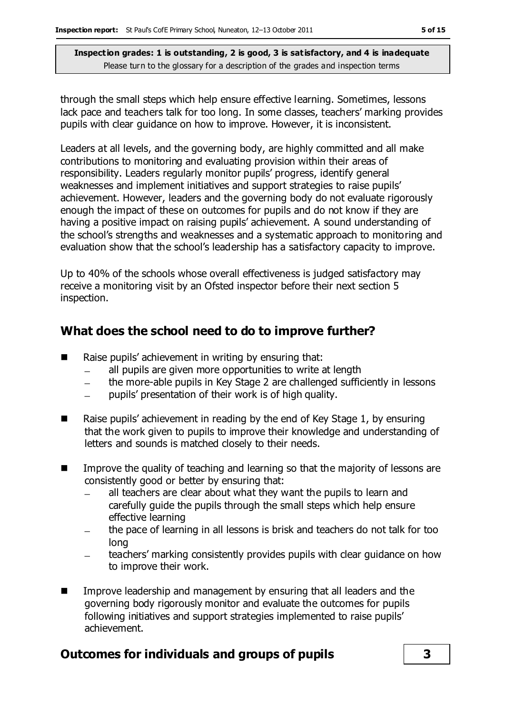through the small steps which help ensure effective learning. Sometimes, lessons lack pace and teachers talk for too long. In some classes, teachers' marking provides pupils with clear guidance on how to improve. However, it is inconsistent.

Leaders at all levels, and the governing body, are highly committed and all make contributions to monitoring and evaluating provision within their areas of responsibility. Leaders regularly monitor pupils' progress, identify general weaknesses and implement initiatives and support strategies to raise pupils' achievement. However, leaders and the governing body do not evaluate rigorously enough the impact of these on outcomes for pupils and do not know if they are having a positive impact on raising pupils' achievement. A sound understanding of the school's strengths and weaknesses and a systematic approach to monitoring and evaluation show that the school's leadership has a satisfactory capacity to improve.

Up to 40% of the schools whose overall effectiveness is judged satisfactory may receive a monitoring visit by an Ofsted inspector before their next section 5 inspection.

# **What does the school need to do to improve further?**

- $\blacksquare$  Raise pupils' achievement in writing by ensuring that:
	- all pupils are given more opportunities to write at length
	- the more-able pupils in Key Stage 2 are challenged sufficiently in lessons  $\equiv$
	- pupils' presentation of their work is of high quality.  $\equiv$
- Raise pupils' achievement in reading by the end of Key Stage 1, by ensuring that the work given to pupils to improve their knowledge and understanding of letters and sounds is matched closely to their needs.
- Improve the quality of teaching and learning so that the majority of lessons are consistently good or better by ensuring that:
	- all teachers are clear about what they want the pupils to learn and carefully guide the pupils through the small steps which help ensure effective learning
	- the pace of learning in all lessons is brisk and teachers do not talk for too long
	- teachers' marking consistently provides pupils with clear guidance on how to improve their work.
- Improve leadership and management by ensuring that all leaders and the governing body rigorously monitor and evaluate the outcomes for pupils following initiatives and support strategies implemented to raise pupils' achievement.

# **Outcomes for individuals and groups of pupils 3**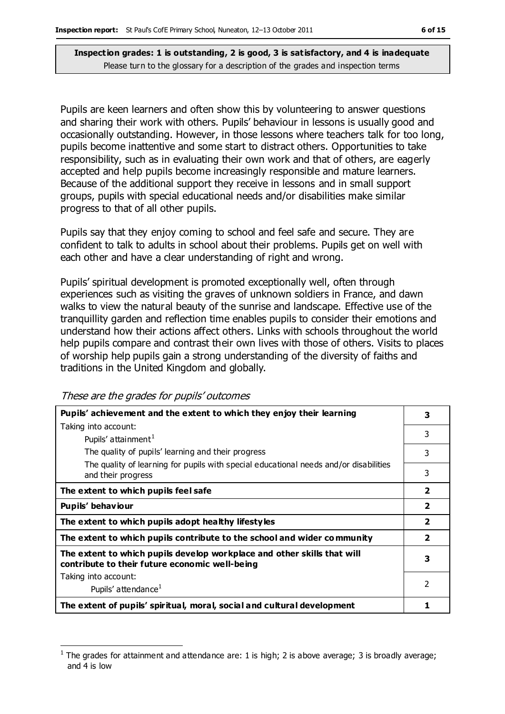Pupils are keen learners and often show this by volunteering to answer questions and sharing their work with others. Pupils' behaviour in lessons is usually good and occasionally outstanding. However, in those lessons where teachers talk for too long, pupils become inattentive and some start to distract others. Opportunities to take responsibility, such as in evaluating their own work and that of others, are eagerly accepted and help pupils become increasingly responsible and mature learners. Because of the additional support they receive in lessons and in small support groups, pupils with special educational needs and/or disabilities make similar progress to that of all other pupils.

Pupils say that they enjoy coming to school and feel safe and secure. They are confident to talk to adults in school about their problems. Pupils get on well with each other and have a clear understanding of right and wrong.

Pupils' spiritual development is promoted exceptionally well, often through experiences such as visiting the graves of unknown soldiers in France, and dawn walks to view the natural beauty of the sunrise and landscape. Effective use of the tranquillity garden and reflection time enables pupils to consider their emotions and understand how their actions affect others. Links with schools throughout the world help pupils compare and contrast their own lives with those of others. Visits to places of worship help pupils gain a strong understanding of the diversity of faiths and traditions in the United Kingdom and globally.

These are the grades for pupils' outcomes

| Pupils' achievement and the extent to which they enjoy their learning                                                     | 3                       |
|---------------------------------------------------------------------------------------------------------------------------|-------------------------|
| Taking into account:                                                                                                      |                         |
| Pupils' attainment <sup>1</sup>                                                                                           | 3                       |
| The quality of pupils' learning and their progress                                                                        | 3                       |
| The quality of learning for pupils with special educational needs and/or disabilities<br>and their progress               | 3                       |
| The extent to which pupils feel safe                                                                                      | $\overline{\mathbf{2}}$ |
| Pupils' behaviour                                                                                                         | $\overline{2}$          |
| The extent to which pupils adopt healthy lifestyles                                                                       | $\overline{\mathbf{2}}$ |
| The extent to which pupils contribute to the school and wider community                                                   | $\overline{2}$          |
| The extent to which pupils develop workplace and other skills that will<br>contribute to their future economic well-being | 3                       |
| Taking into account:                                                                                                      |                         |
| Pupils' attendance <sup>1</sup>                                                                                           | $\mathcal{P}$           |
| The extent of pupils' spiritual, moral, social and cultural development                                                   |                         |

 $\overline{a}$ 1 The grades for attainment and attendance are: 1 is high; 2 is above average; 3 is broadly average; and 4 is low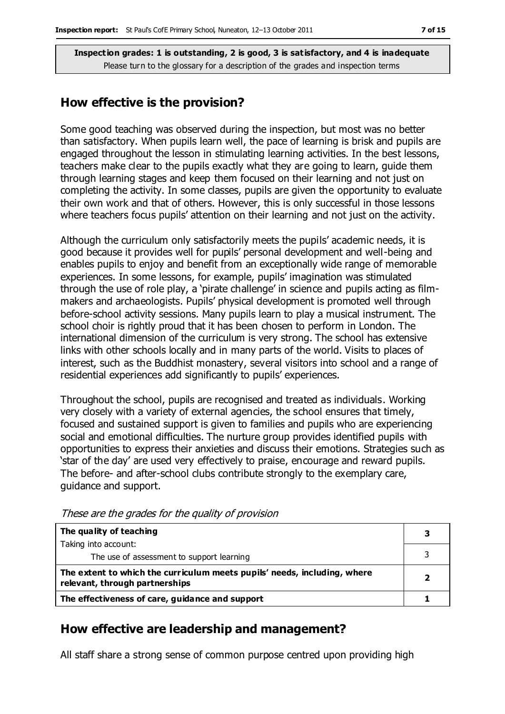### **How effective is the provision?**

Some good teaching was observed during the inspection, but most was no better than satisfactory. When pupils learn well, the pace of learning is brisk and pupils are engaged throughout the lesson in stimulating learning activities. In the best lessons, teachers make clear to the pupils exactly what they are going to learn, guide them through learning stages and keep them focused on their learning and not just on completing the activity. In some classes, pupils are given the opportunity to evaluate their own work and that of others. However, this is only successful in those lessons where teachers focus pupils' attention on their learning and not just on the activity.

Although the curriculum only satisfactorily meets the pupils' academic needs, it is good because it provides well for pupils' personal development and well-being and enables pupils to enjoy and benefit from an exceptionally wide range of memorable experiences. In some lessons, for example, pupils' imagination was stimulated through the use of role play, a 'pirate challenge' in science and pupils acting as filmmakers and archaeologists. Pupils' physical development is promoted well through before-school activity sessions. Many pupils learn to play a musical instrument. The school choir is rightly proud that it has been chosen to perform in London. The international dimension of the curriculum is very strong. The school has extensive links with other schools locally and in many parts of the world. Visits to places of interest, such as the Buddhist monastery, several visitors into school and a range of residential experiences add significantly to pupils' experiences.

Throughout the school, pupils are recognised and treated as individuals. Working very closely with a variety of external agencies, the school ensures that timely, focused and sustained support is given to families and pupils who are experiencing social and emotional difficulties. The nurture group provides identified pupils with opportunities to express their anxieties and discuss their emotions. Strategies such as 'star of the day' are used very effectively to praise, encourage and reward pupils. The before- and after-school clubs contribute strongly to the exemplary care, guidance and support.

| The quality of teaching                                                                                    |   |
|------------------------------------------------------------------------------------------------------------|---|
| Taking into account:                                                                                       |   |
| The use of assessment to support learning                                                                  |   |
| The extent to which the curriculum meets pupils' needs, including, where<br>relevant, through partnerships | 7 |
| The effectiveness of care, guidance and support                                                            |   |

These are the grades for the quality of provision

# **How effective are leadership and management?**

All staff share a strong sense of common purpose centred upon providing high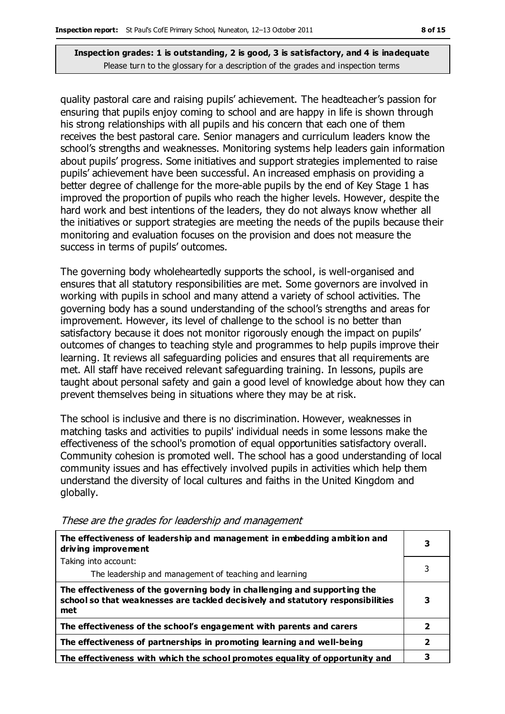quality pastoral care and raising pupils' achievement. The headteacher's passion for ensuring that pupils enjoy coming to school and are happy in life is shown through his strong relationships with all pupils and his concern that each one of them receives the best pastoral care. Senior managers and curriculum leaders know the school's strengths and weaknesses. Monitoring systems help leaders gain information about pupils' progress. Some initiatives and support strategies implemented to raise pupils' achievement have been successful. An increased emphasis on providing a better degree of challenge for the more-able pupils by the end of Key Stage 1 has improved the proportion of pupils who reach the higher levels. However, despite the hard work and best intentions of the leaders, they do not always know whether all the initiatives or support strategies are meeting the needs of the pupils because their monitoring and evaluation focuses on the provision and does not measure the success in terms of pupils' outcomes.

The governing body wholeheartedly supports the school, is well-organised and ensures that all statutory responsibilities are met. Some governors are involved in working with pupils in school and many attend a variety of school activities. The governing body has a sound understanding of the school's strengths and areas for improvement. However, its level of challenge to the school is no better than satisfactory because it does not monitor rigorously enough the impact on pupils' outcomes of changes to teaching style and programmes to help pupils improve their learning. It reviews all safeguarding policies and ensures that all requirements are met. All staff have received relevant safeguarding training. In lessons, pupils are taught about personal safety and gain a good level of knowledge about how they can prevent themselves being in situations where they may be at risk.

The school is inclusive and there is no discrimination. However, weaknesses in matching tasks and activities to pupils' individual needs in some lessons make the effectiveness of the school's promotion of equal opportunities satisfactory overall. Community cohesion is promoted well. The school has a good understanding of local community issues and has effectively involved pupils in activities which help them understand the diversity of local cultures and faiths in the United Kingdom and globally.

| The effectiveness of leadership and management in embedding ambition and<br>driving improvement                                                                     | 3 |
|---------------------------------------------------------------------------------------------------------------------------------------------------------------------|---|
| Taking into account:                                                                                                                                                |   |
| The leadership and management of teaching and learning                                                                                                              |   |
| The effectiveness of the governing body in challenging and supporting the<br>school so that weaknesses are tackled decisively and statutory responsibilities<br>met | з |
| The effectiveness of the school's engagement with parents and carers                                                                                                | 2 |
| The effectiveness of partnerships in promoting learning and well-being                                                                                              | 2 |
| The effectiveness with which the school promotes equality of opportunity and                                                                                        |   |

These are the grades for leadership and management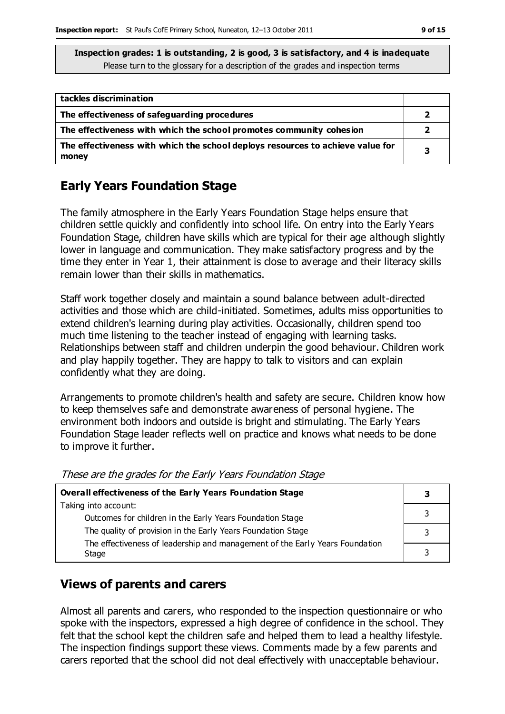| tackles discrimination                                                                  |   |
|-----------------------------------------------------------------------------------------|---|
| The effectiveness of safeguarding procedures                                            |   |
| The effectiveness with which the school promotes community cohesion                     |   |
| The effectiveness with which the school deploys resources to achieve value for<br>money | 3 |

# **Early Years Foundation Stage**

The family atmosphere in the Early Years Foundation Stage helps ensure that children settle quickly and confidently into school life. On entry into the Early Years Foundation Stage, children have skills which are typical for their age although slightly lower in language and communication. They make satisfactory progress and by the time they enter in Year 1, their attainment is close to average and their literacy skills remain lower than their skills in mathematics.

Staff work together closely and maintain a sound balance between adult-directed activities and those which are child-initiated. Sometimes, adults miss opportunities to extend children's learning during play activities. Occasionally, children spend too much time listening to the teacher instead of engaging with learning tasks. Relationships between staff and children underpin the good behaviour. Children work and play happily together. They are happy to talk to visitors and can explain confidently what they are doing.

Arrangements to promote children's health and safety are secure. Children know how to keep themselves safe and demonstrate awareness of personal hygiene. The environment both indoors and outside is bright and stimulating. The Early Years Foundation Stage leader reflects well on practice and knows what needs to be done to improve it further.

| <b>Overall effectiveness of the Early Years Foundation Stage</b>                      |  |
|---------------------------------------------------------------------------------------|--|
| Taking into account:                                                                  |  |
| Outcomes for children in the Early Years Foundation Stage                             |  |
| The quality of provision in the Early Years Foundation Stage                          |  |
| The effectiveness of leadership and management of the Early Years Foundation<br>Stage |  |
|                                                                                       |  |

These are the grades for the Early Years Foundation Stage

# **Views of parents and carers**

Almost all parents and carers, who responded to the inspection questionnaire or who spoke with the inspectors, expressed a high degree of confidence in the school. They felt that the school kept the children safe and helped them to lead a healthy lifestyle. The inspection findings support these views. Comments made by a few parents and carers reported that the school did not deal effectively with unacceptable behaviour.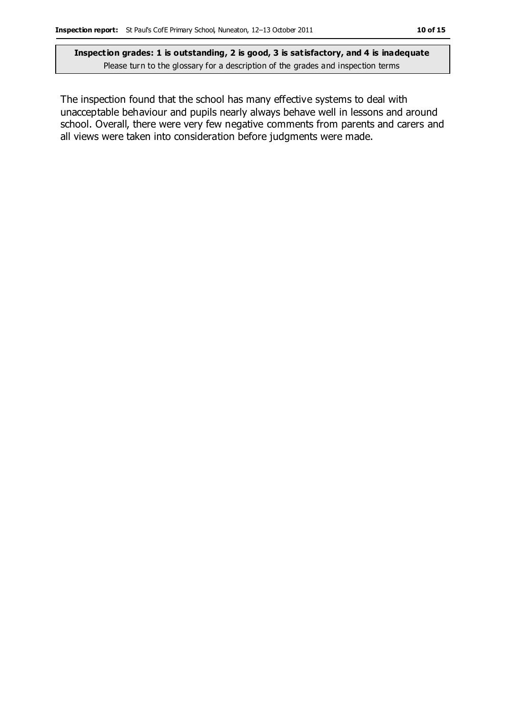The inspection found that the school has many effective systems to deal with unacceptable behaviour and pupils nearly always behave well in lessons and around school. Overall, there were very few negative comments from parents and carers and all views were taken into consideration before judgments were made.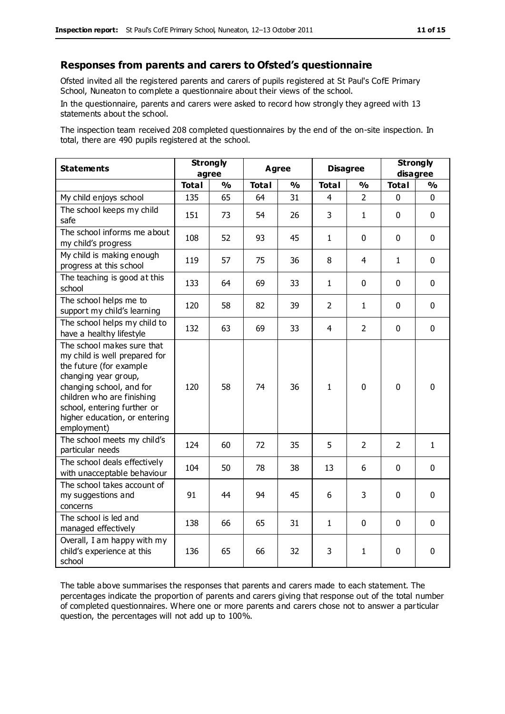#### **Responses from parents and carers to Ofsted's questionnaire**

Ofsted invited all the registered parents and carers of pupils registered at St Paul's CofE Primary School, Nuneaton to complete a questionnaire about their views of the school.

In the questionnaire, parents and carers were asked to record how strongly they agreed with 13 statements about the school.

The inspection team received 208 completed questionnaires by the end of the on-site inspection. In total, there are 490 pupils registered at the school.

| <b>Statements</b>                                                                                                                                                                                                                                       | <b>Strongly</b><br>agree |               | <b>Agree</b> |               | <b>Disagree</b> |                | <b>Strongly</b><br>disagree |               |
|---------------------------------------------------------------------------------------------------------------------------------------------------------------------------------------------------------------------------------------------------------|--------------------------|---------------|--------------|---------------|-----------------|----------------|-----------------------------|---------------|
|                                                                                                                                                                                                                                                         | <b>Total</b>             | $\frac{1}{2}$ | <b>Total</b> | $\frac{1}{2}$ | <b>Total</b>    | $\frac{0}{0}$  | <b>Total</b>                | $\frac{1}{2}$ |
| My child enjoys school                                                                                                                                                                                                                                  | 135                      | 65            | 64           | 31            | 4               | $\overline{2}$ | 0                           | $\mathbf 0$   |
| The school keeps my child<br>safe                                                                                                                                                                                                                       | 151                      | 73            | 54           | 26            | 3               | 1              | $\mathbf 0$                 | $\mathbf 0$   |
| The school informs me about<br>my child's progress                                                                                                                                                                                                      | 108                      | 52            | 93           | 45            | $\mathbf{1}$    | $\mathbf 0$    | $\mathbf 0$                 | $\mathbf 0$   |
| My child is making enough<br>progress at this school                                                                                                                                                                                                    | 119                      | 57            | 75           | 36            | 8               | 4              | $\mathbf{1}$                | $\mathbf 0$   |
| The teaching is good at this<br>school                                                                                                                                                                                                                  | 133                      | 64            | 69           | 33            | $\mathbf{1}$    | $\mathbf 0$    | $\Omega$                    | $\mathbf 0$   |
| The school helps me to<br>support my child's learning                                                                                                                                                                                                   | 120                      | 58            | 82           | 39            | $\overline{2}$  | $\mathbf{1}$   | $\Omega$                    | $\mathbf 0$   |
| The school helps my child to<br>have a healthy lifestyle                                                                                                                                                                                                | 132                      | 63            | 69           | 33            | $\overline{4}$  | $\overline{2}$ | $\mathbf 0$                 | $\mathbf 0$   |
| The school makes sure that<br>my child is well prepared for<br>the future (for example<br>changing year group,<br>changing school, and for<br>children who are finishing<br>school, entering further or<br>higher education, or entering<br>employment) | 120                      | 58            | 74           | 36            | $\mathbf{1}$    | $\mathbf 0$    | $\mathbf{0}$                | $\mathbf 0$   |
| The school meets my child's<br>particular needs                                                                                                                                                                                                         | 124                      | 60            | 72           | 35            | 5               | $\overline{2}$ | $\overline{2}$              | $\mathbf{1}$  |
| The school deals effectively<br>with unacceptable behaviour                                                                                                                                                                                             | 104                      | 50            | 78           | 38            | 13              | 6              | $\mathbf 0$                 | $\mathbf 0$   |
| The school takes account of<br>my suggestions and<br>concerns                                                                                                                                                                                           | 91                       | 44            | 94           | 45            | 6               | 3              | $\mathbf 0$                 | $\mathbf 0$   |
| The school is led and<br>managed effectively                                                                                                                                                                                                            | 138                      | 66            | 65           | 31            | $\mathbf{1}$    | $\mathbf 0$    | $\mathbf 0$                 | $\mathbf 0$   |
| Overall, I am happy with my<br>child's experience at this<br>school                                                                                                                                                                                     | 136                      | 65            | 66           | 32            | 3               | 1              | $\mathbf 0$                 | $\mathbf 0$   |

The table above summarises the responses that parents and carers made to each statement. The percentages indicate the proportion of parents and carers giving that response out of the total number of completed questionnaires. Where one or more parents and carers chose not to answer a particular question, the percentages will not add up to 100%.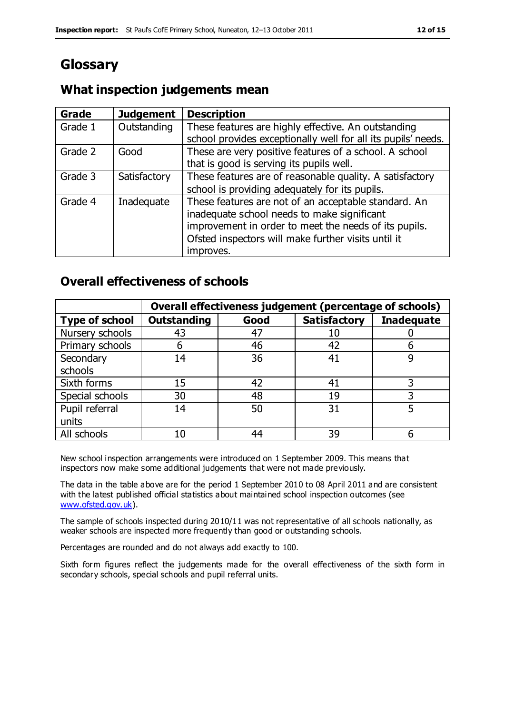# **Glossary**

# **What inspection judgements mean**

| Grade   | <b>Judgement</b> | <b>Description</b>                                                                                                   |
|---------|------------------|----------------------------------------------------------------------------------------------------------------------|
| Grade 1 | Outstanding      | These features are highly effective. An outstanding<br>school provides exceptionally well for all its pupils' needs. |
|         |                  |                                                                                                                      |
| Grade 2 | Good             | These are very positive features of a school. A school                                                               |
|         |                  | that is good is serving its pupils well.                                                                             |
| Grade 3 | Satisfactory     | These features are of reasonable quality. A satisfactory                                                             |
|         |                  | school is providing adequately for its pupils.                                                                       |
| Grade 4 | Inadequate       | These features are not of an acceptable standard. An                                                                 |
|         |                  | inadequate school needs to make significant                                                                          |
|         |                  | improvement in order to meet the needs of its pupils.                                                                |
|         |                  | Ofsted inspectors will make further visits until it                                                                  |
|         |                  | improves.                                                                                                            |

# **Overall effectiveness of schools**

|                       |                    |      | Overall effectiveness judgement (percentage of schools) |                   |
|-----------------------|--------------------|------|---------------------------------------------------------|-------------------|
| <b>Type of school</b> | <b>Outstanding</b> | Good | <b>Satisfactory</b>                                     | <b>Inadequate</b> |
| Nursery schools       | 43                 | 47   | 10                                                      |                   |
| Primary schools       | 6                  | 46   | 42                                                      |                   |
| Secondary             | 14                 | 36   | 41                                                      |                   |
| schools               |                    |      |                                                         |                   |
| Sixth forms           | 15                 | 42   | 41                                                      | 3                 |
| Special schools       | 30                 | 48   | 19                                                      |                   |
| Pupil referral        | 14                 | 50   | 31                                                      |                   |
| units                 |                    |      |                                                         |                   |
| All schools           | 10                 | 44   | 39                                                      |                   |

New school inspection arrangements were introduced on 1 September 2009. This means that inspectors now make some additional judgements that were not made previously.

The data in the table above are for the period 1 September 2010 to 08 April 2011 and are consistent with the latest published official statistics about maintained school inspection outcomes (see [www.ofsted.gov.uk\)](http://www.ofsted.gov.uk/).

The sample of schools inspected during 2010/11 was not representative of all schools nationally, as weaker schools are inspected more frequently than good or outstanding schools.

Percentages are rounded and do not always add exactly to 100.

Sixth form figures reflect the judgements made for the overall effectiveness of the sixth form in secondary schools, special schools and pupil referral units.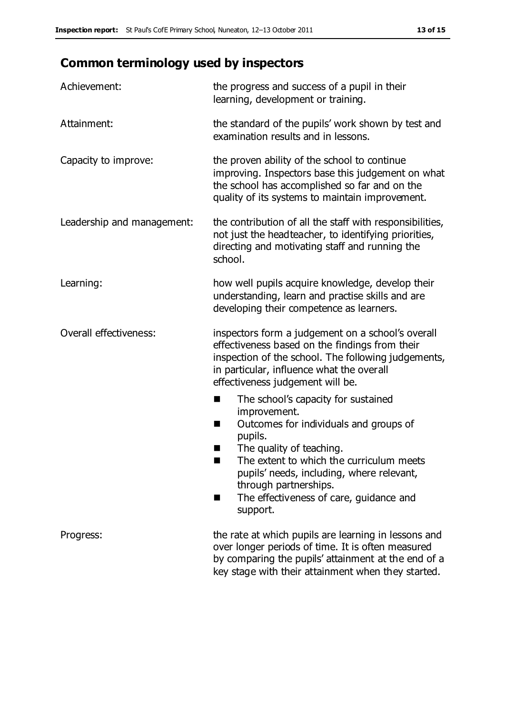# **Common terminology used by inspectors**

| Achievement:               | the progress and success of a pupil in their<br>learning, development or training.                                                                                                                                                                                                                                           |
|----------------------------|------------------------------------------------------------------------------------------------------------------------------------------------------------------------------------------------------------------------------------------------------------------------------------------------------------------------------|
| Attainment:                | the standard of the pupils' work shown by test and<br>examination results and in lessons.                                                                                                                                                                                                                                    |
| Capacity to improve:       | the proven ability of the school to continue<br>improving. Inspectors base this judgement on what<br>the school has accomplished so far and on the<br>quality of its systems to maintain improvement.                                                                                                                        |
| Leadership and management: | the contribution of all the staff with responsibilities,<br>not just the headteacher, to identifying priorities,<br>directing and motivating staff and running the<br>school.                                                                                                                                                |
| Learning:                  | how well pupils acquire knowledge, develop their<br>understanding, learn and practise skills and are<br>developing their competence as learners.                                                                                                                                                                             |
| Overall effectiveness:     | inspectors form a judgement on a school's overall<br>effectiveness based on the findings from their<br>inspection of the school. The following judgements,<br>in particular, influence what the overall<br>effectiveness judgement will be.                                                                                  |
|                            | The school's capacity for sustained<br>■<br>improvement.<br>Outcomes for individuals and groups of<br>H<br>pupils.<br>The quality of teaching.<br>The extent to which the curriculum meets<br>ш<br>pupils' needs, including, where relevant,<br>through partnerships.<br>The effectiveness of care, guidance and<br>support. |
| Progress:                  | the rate at which pupils are learning in lessons and<br>over longer periods of time. It is often measured<br>by comparing the pupils' attainment at the end of a<br>key stage with their attainment when they started.                                                                                                       |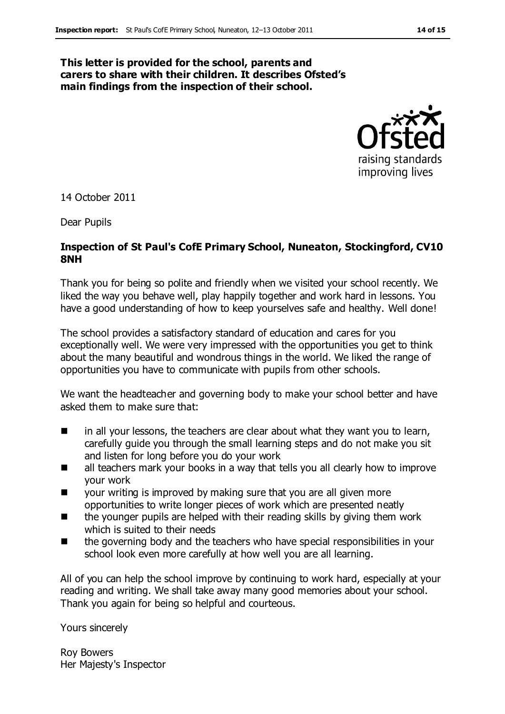#### **This letter is provided for the school, parents and carers to share with their children. It describes Ofsted's main findings from the inspection of their school.**



14 October 2011

Dear Pupils

#### **Inspection of St Paul's CofE Primary School, Nuneaton, Stockingford, CV10 8NH**

Thank you for being so polite and friendly when we visited your school recently. We liked the way you behave well, play happily together and work hard in lessons. You have a good understanding of how to keep yourselves safe and healthy. Well done!

The school provides a satisfactory standard of education and cares for you exceptionally well. We were very impressed with the opportunities you get to think about the many beautiful and wondrous things in the world. We liked the range of opportunities you have to communicate with pupils from other schools.

We want the headteacher and governing body to make your school better and have asked them to make sure that:

- $\blacksquare$  in all your lessons, the teachers are clear about what they want you to learn, carefully guide you through the small learning steps and do not make you sit and listen for long before you do your work
- all teachers mark your books in a way that tells you all clearly how to improve your work
- your writing is improved by making sure that you are all given more opportunities to write longer pieces of work which are presented neatly
- the younger pupils are helped with their reading skills by giving them work which is suited to their needs
- the governing body and the teachers who have special responsibilities in your school look even more carefully at how well you are all learning.

All of you can help the school improve by continuing to work hard, especially at your reading and writing. We shall take away many good memories about your school. Thank you again for being so helpful and courteous.

Yours sincerely

Roy Bowers Her Majesty's Inspector